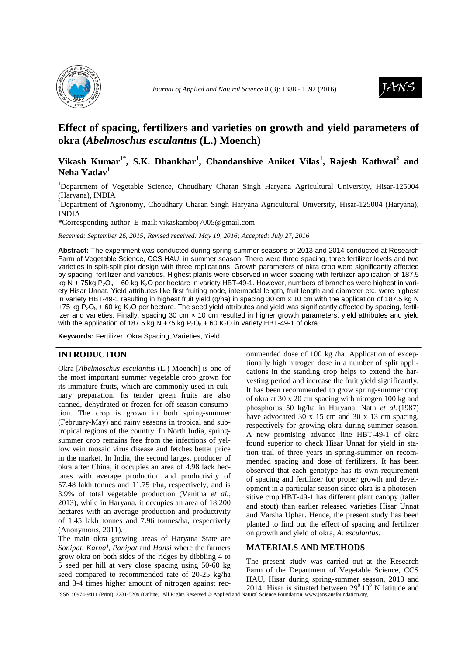



# **Effect of spacing, fertilizers and varieties on growth and yield parameters of okra (***Abelmoschus esculantus* **(L.) Moench)**

## **Vikash Kumar1\*, S.K. Dhankhar<sup>1</sup> , Chandanshive Aniket Vilas<sup>1</sup> , Rajesh Kathwal<sup>2</sup> and Neha Yadav<sup>1</sup>**

<sup>1</sup>Department of Vegetable Science, Choudhary Charan Singh Haryana Agricultural University, Hisar-125004 (Haryana), INDIA

<sup>2</sup>Department of Agronomy, Choudhary Charan Singh Haryana Agricultural University, Hisar-125004 (Haryana), INDIA

**\***Corresponding author. E-mail: vikaskamboj7005@gmail.com

*Received: September 26, 2015; Revised received: May 19, 2016; Accepted: July 27, 2016*

**Abstract:** The experiment was conducted during spring summer seasons of 2013 and 2014 conducted at Research Farm of Vegetable Science, CCS HAU, in summer season. There were three spacing, three fertilizer levels and two varieties in split-split plot design with three replications. Growth parameters of okra crop were significantly affected by spacing, fertilizer and varieties. Highest plants were observed in wider spacing with fertilizer application of 187.5 kg N + 75kg P<sub>2</sub>O<sub>5</sub> + 60 kg K<sub>2</sub>O per hectare in variety HBT-49-1. However, numbers of branches were highest in variety Hisar Unnat. Yield attributes like first fruiting node, intermodal length, fruit length and diameter etc. were highest in variety HBT-49-1 resulting in highest fruit yield (q/ha) in spacing 30 cm x 10 cm with the application of 187.5 kg N +75 kg  $P_2O_5$  + 60 kg K<sub>2</sub>O per hectare. The seed yield attributes and yield was significantly affected by spacing, fertilizer and varieties. Finally, spacing 30 cm  $\times$  10 cm resulted in higher growth parameters, yield attributes and yield with the application of 187.5 kg N +75 kg  $P_2O_5$  + 60 K<sub>2</sub>O in variety HBT-49-1 of okra.

**Keywords:** Fertilizer, Okra Spacing, Varieties, Yield

## **INTRODUCTION**

Okra [*Abelmoschus esculantus* (L.) Moench] is one of the most important summer vegetable crop grown for its immature fruits, which are commonly used in culinary preparation. Its tender green fruits are also canned, dehydrated or frozen for off season consumption. The crop is grown in both spring-summer (February-May) and rainy seasons in tropical and subtropical regions of the country. In North India, springsummer crop remains free from the infections of yellow vein mosaic virus disease and fetches better price in the market. In India, the second largest producer of okra after China, it occupies an area of 4.98 lack hectares with average production and productivity of 57.48 lakh tonnes and 11.75 t/ha, respectively, and is 3.9% of total vegetable production (Vanitha *et al.,* 2013), while in Haryana, it occupies an area of 18,200 hectares with an average production and productivity of 1.45 lakh tonnes and 7.96 tonnes/ha, respectively (Anonymous, 2011).

The main okra growing areas of Haryana State are *Sonipat, Karnal, Panipat* and *Hansi* where the farmers grow okra on both sides of the ridges by dibbling 4 to 5 seed per hill at very close spacing using 50-60 kg seed compared to recommended rate of 20-25 kg/ha and 3-4 times higher amount of nitrogen against recommended dose of 100 kg /ha. Application of exceptionally high nitrogen dose in a number of split applications in the standing crop helps to extend the harvesting period and increase the fruit yield significantly. It has been recommended to grow spring-summer crop of okra at 30 x 20 cm spacing with nitrogen 100 kg and phosphorus 50 kg/ha in Haryana. Nath *et al.*(1987) have advocated 30 x 15 cm and 30 x 13 cm spacing, respectively for growing okra during summer season. A new promising advance line HBT-49-1 of okra found superior to check Hisar Unnat for yield in station trail of three years in spring-summer on recommended spacing and dose of fertilizers. It has been observed that each genotype has its own requirement of spacing and fertilizer for proper growth and development in a particular season since okra is a photosensitive crop.HBT-49-1 has different plant canopy (taller and stout) than earlier released varieties Hisar Unnat and Varsha Uphar. Hence, the present study has been planted to find out the effect of spacing and fertilizer on growth and yield of okra, *A. esculantus*.

#### **MATERIALS AND METHODS**

The present study was carried out at the Research Farm of the Department of Vegetable Science, CCS HAU, Hisar during spring-summer season, 2013 and 2014. Hisar is situated between  $29^0 10^0$  N latitude and

ISSN : 0974-9411 (Print), 2231-5209 (Online) All Rights Reserved © Applied and Natural Science Foundation www.jans.ansfoundation.org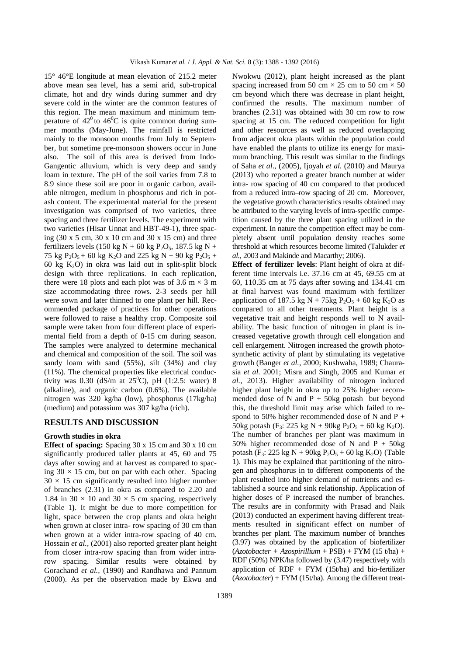15° 46°E longitude at mean elevation of 215.2 meter above mean sea level, has a semi arid, sub-tropical climate, hot and dry winds during summer and dry severe cold in the winter are the common features of this region. The mean maximum and minimum temperature of  $42^{\circ}$  to  $46^{\circ}$ C is quite common during summer months (May-June). The rainfall is restricted mainly to the monsoon months from July to September, but sometime pre-monsoon showers occur in June also. The soil of this area is derived from Indo-Gangentic alluvium, which is very deep and sandy loam in texture. The pH of the soil varies from 7.8 to 8.9 since these soil are poor in organic carbon, available nitrogen, medium in phosphorus and rich in potash content. The experimental material for the present investigation was comprised of two varieties, three spacing and three fertilizer levels. The experiment with two varieties (Hisar Unnat and HBT-49-1), three spacing (30 x 5 cm, 30 x 10 cm and 30 x 15 cm) and three fertilizers levels (150 kg N + 60 kg P<sub>2</sub>O<sub>5</sub>, 187.5 kg N + 75 kg  $P_2O_5$  + 60 kg  $K_2O$  and 225 kg N + 90 kg  $P_2O_5$  + 60 kg  $K_2O$ ) in okra was laid out in split-split block design with three replications. In each replication, there were 18 plots and each plot was of 3.6 m  $\times$  3 m size accommodating three rows. 2-3 seeds per hill were sown and later thinned to one plant per hill. Recommended package of practices for other operations were followed to raise a healthy crop. Composite soil sample were taken from four different place of experimental field from a depth of 0-15 cm during season. The samples were analyzed to determine mechanical and chemical and composition of the soil. The soil was sandy loam with sand (55%), silt (34%) and clay (11%). The chemical properties like electrical conductivity was 0.30 (dS/m at  $25^{\circ}$ C), pH (1:2.5: water) 8 (alkaline), and organic carbon (0.6%). The available nitrogen was 320 kg/ha (low), phosphorus (17kg/ha) (medium) and potassium was 307 kg/ha (rich).

### **RESULTS AND DISCUSSION**

#### **Growth studies in okra**

**Effect of spacing:** Spacing 30 x 15 cm and 30 x 10 cm significantly produced taller plants at 45, 60 and 75 days after sowing and at harvest as compared to spacing  $30 \times 15$  cm, but on par with each other. Spacing  $30 \times 15$  cm significantly resulted into higher number of branches (2.31) in okra as compared to 2.20 and 1.84 in 30  $\times$  10 and 30  $\times$  5 cm spacing, respectively **(**Table 1**)**. It might be due to more competition for light, space between the crop plants and okra height when grown at closer intra- row spacing of 30 cm than when grown at a wider intra-row spacing of 40 cm. Hossain *et al.,* (2001) also reported greater plant height from closer intra-row spacing than from wider intrarow spacing. Similar results were obtained by Gorachand *et al.,* (1990) and Randhawa and Pannum (2000). As per the observation made by Ekwu and

Nwokwu (2012), plant height increased as the plant spacing increased from 50 cm  $\times$  25 cm to 50 cm  $\times$  50 cm beyond which there was decrease in plant height, confirmed the results. The maximum number of branches (2.31) was obtained with 30 cm row to row spacing at 15 cm. The reduced competition for light and other resources as well as reduced overlapping from adjacent okra plants within the population could have enabled the plants to utilize its energy for maximum branching. This result was similar to the findings of Saha *et al*., (2005), Ijoyah *et al.* (2010) and Maurya (2013) who reported a greater branch number at wider intra- row spacing of 40 cm compared to that produced from a reduced intra–row spacing of 20 cm. Moreover, the vegetative growth characteristics results obtained may be attributed to the varying levels of intra-specific competition caused by the three plant spacing utilized in the experiment. In nature the competition effect may be completely absent until population density reaches some threshold at which resources become limited (Talukder *et al.,* 2003 and Makinde and Macarthy; 2006).

**Effect of fertilizer levels**: Plant height of okra at different time intervals i.e. 37.16 cm at 45, 69.55 cm at 60, 110.35 cm at 75 days after sowing and 134.41 cm at final harvest was found maximum with fertilizer application of 187.5 kg  $N + 75$ kg  $P_2O_5 + 60$  kg  $K_2O$  as compared to all other treatments. Plant height is a vegetative trait and height responds well to N availability. The basic function of nitrogen in plant is increased vegetative growth through cell elongation and cell enlargement. Nitrogen increased the growth photosynthetic activity of plant by stimulating its vegetative growth (Banger *et al.,* 2000; Kushwaha, 1989; Chaurasia *et al.* 2001; Misra and Singh, 2005 and Kumar *et al.,* 2013). Higher availability of nitrogen induced higher plant height in okra up to 25% higher recommended dose of N and  $P + 50kg$  potash but beyond this, the threshold limit may arise which failed to respond to 50% higher recommended dose of N and P + 50kg potash (F<sub>3</sub>: 225 kg N + 90kg P<sub>2</sub>O<sub>5</sub> + 60 kg K<sub>2</sub>O). The number of branches per plant was maximum in 50% higher recommended dose of N and  $P + 50kg$ potash (F<sub>3</sub>: 225 kg N + 90kg P<sub>2</sub>O<sub>5</sub> + 60 kg K<sub>2</sub>O) (Table 1). This may be explained that partitioning of the nitrogen and phosphorus in to different components of the plant resulted into higher demand of nutrients and established a source and sink relationship. Application of higher doses of P increased the number of branches. The results are in conformity with Prasad and Naik (2013) conducted an experiment having different treatments resulted in significant effect on number of branches per plant. The maximum number of branches (3.97) was obtained by the application of biofertilizer  $(Azotobacter + Azospirillium + PSB) + FYM (15 t/ha) +$ RDF (50%) NPK/ha followed by (3.47) respectively with application of RDF + FYM  $(15t/ha)$  and bio-fertilizer (*Azotobacter*) + FYM (15t/ha). Among the different treat-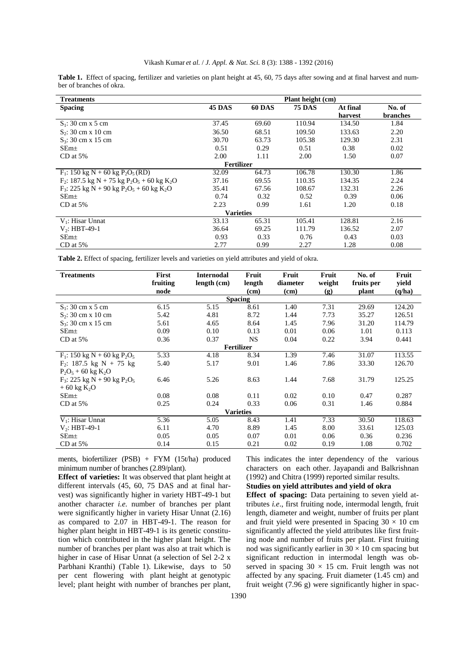|                          |  |  |  |  |  | Table 1. Effect of spacing, fertilizer and varieties on plant height at 45, 60, 75 days after sowing and at final harvest and num- |  |
|--------------------------|--|--|--|--|--|------------------------------------------------------------------------------------------------------------------------------------|--|
| ber of branches of okra. |  |  |  |  |  |                                                                                                                                    |  |

| <b>Treatments</b>                                                                 | Plant height (cm) |               |               |          |                 |  |  |  |  |
|-----------------------------------------------------------------------------------|-------------------|---------------|---------------|----------|-----------------|--|--|--|--|
| <b>Spacing</b>                                                                    | 45 DAS            | <b>60 DAS</b> | <b>75 DAS</b> | At final | No. of          |  |  |  |  |
|                                                                                   |                   |               |               | harvest  | <b>branches</b> |  |  |  |  |
| $S_1$ : 30 cm x 5 cm                                                              | 37.45             | 69.60         | 110.94        | 134.50   | 1.84            |  |  |  |  |
| $S_2$ : 30 cm x 10 cm                                                             | 36.50             | 68.51         | 109.50        | 133.63   | 2.20            |  |  |  |  |
| $S_3$ : 30 cm x 15 cm                                                             | 30.70             | 63.73         | 105.38        | 129.30   | 2.31            |  |  |  |  |
| SEm <sub>±</sub>                                                                  | 0.51              | 0.29          | 0.51          | 0.38     | 0.02            |  |  |  |  |
| $CD$ at 5%                                                                        | 2.00              | 1.11          | 2.00          | 1.50     | 0.07            |  |  |  |  |
| <b>Fertilizer</b>                                                                 |                   |               |               |          |                 |  |  |  |  |
| $F_1$ : 150 kg N + 60 kg P <sub>2</sub> O <sub>5</sub> (RD)                       | 32.09             | 64.73         | 106.78        | 130.30   | 1.86            |  |  |  |  |
| $F_2$ : 187.5 kg N + 75 kg P <sub>2</sub> O <sub>5</sub> + 60 kg K <sub>2</sub> O | 37.16             | 69.55         | 110.35        | 134.35   | 2.24            |  |  |  |  |
| $F_3$ : 225 kg N + 90 kg P <sub>2</sub> O <sub>5</sub> + 60 kg K <sub>2</sub> O   | 35.41             | 67.56         | 108.67        | 132.31   | 2.26            |  |  |  |  |
| SEm <sub>±</sub>                                                                  | 0.74              | 0.32          | 0.52          | 0.39     | 0.06            |  |  |  |  |
| $CD$ at 5%                                                                        | 2.23              | 0.99          | 1.61          | 1.20     | 0.18            |  |  |  |  |
| <b>Varieties</b>                                                                  |                   |               |               |          |                 |  |  |  |  |
| $V_1$ : Hisar Unnat                                                               | 33.13             | 65.31         | 105.41        | 128.81   | 2.16            |  |  |  |  |
| $V2: HBT-49-1$                                                                    | 36.64             | 69.25         | 111.79        | 136.52   | 2.07            |  |  |  |  |
| SEm <sub>±</sub>                                                                  | 0.93              | 0.33          | 0.76          | 0.43     | 0.03            |  |  |  |  |
| $CD$ at 5%                                                                        | 2.77              | 0.99          | 2.27          | 1.28     | 0.08            |  |  |  |  |

**Table 2.** Effect of spacing, fertilizer levels and varieties on yield attributes and yield of okra.

| <b>Treatments</b>                                      | <b>First</b> | <b>Internodal</b> | Fruit  | Fruit    | Fruit  | No. of     | Fruit  |  |  |  |
|--------------------------------------------------------|--------------|-------------------|--------|----------|--------|------------|--------|--|--|--|
|                                                        | fruiting     | length (cm)       | length | diameter | weight | fruits per | yield  |  |  |  |
|                                                        | node         |                   | (cm)   | (cm)     | (g)    | plant      | (q/ha) |  |  |  |
| <b>Spacing</b>                                         |              |                   |        |          |        |            |        |  |  |  |
| $S_1$ : 30 cm x 5 cm                                   | 6.15         | 5.15              | 8.61   | 1.40     | 7.31   | 29.69      | 124.20 |  |  |  |
| $S_2$ : 30 cm x 10 cm                                  | 5.42         | 4.81              | 8.72   | 1.44     | 7.73   | 35.27      | 126.51 |  |  |  |
| $S_3$ : 30 cm x 15 cm                                  | 5.61         | 4.65              | 8.64   | 1.45     | 7.96   | 31.20      | 114.79 |  |  |  |
| $SEm\pm$                                               | 0.09         | 0.10              | 0.13   | 0.01     | 0.06   | 1.01       | 0.113  |  |  |  |
| $CD$ at 5%                                             | 0.36         | 0.37              | NS.    | 0.04     | 0.22   | 3.94       | 0.441  |  |  |  |
| <b>Fertilizer</b>                                      |              |                   |        |          |        |            |        |  |  |  |
| $F_1$ : 150 kg N + 60 kg P <sub>2</sub> O <sub>5</sub> | 5.33         | 4.18              | 8.34   | 1.39     | 7.46   | 31.07      | 113.55 |  |  |  |
| $F_2$ : 187.5 kg N + 75 kg                             | 5.40         | 5.17              | 9.01   | 1.46     | 7.86   | 33.30      | 126.70 |  |  |  |
| $P_2O_5 + 60$ kg K <sub>2</sub> O                      |              |                   |        |          |        |            |        |  |  |  |
| $F_3$ : 225 kg N + 90 kg P <sub>2</sub> O <sub>5</sub> | 6.46         | 5.26              | 8.63   | 1.44     | 7.68   | 31.79      | 125.25 |  |  |  |
| $+60 \text{ kg K}_2\text{O}$                           |              |                   |        |          |        |            |        |  |  |  |
| SEm <sub>±</sub>                                       | 0.08         | 0.08              | 0.11   | 0.02     | 0.10   | 0.47       | 0.287  |  |  |  |
| $CD$ at 5%                                             | 0.25         | 0.24              | 0.33   | 0.06     | 0.31   | 1.46       | 0.884  |  |  |  |
| <b>Varieties</b>                                       |              |                   |        |          |        |            |        |  |  |  |
| $V_1$ : Hisar Unnat                                    | 5.36         | 5.05              | 8.43   | 1.41     | 7.33   | 30.50      | 118.63 |  |  |  |
| $V_2$ : HBT-49-1                                       | 6.11         | 4.70              | 8.89   | 1.45     | 8.00   | 33.61      | 125.03 |  |  |  |
| $SEm+$                                                 | 0.05         | 0.05              | 0.07   | 0.01     | 0.06   | 0.36       | 0.236  |  |  |  |
| $CD$ at 5%                                             | 0.14         | 0.15              | 0.21   | 0.02     | 0.19   | 1.08       | 0.702  |  |  |  |

ments, biofertilizer (PSB) + FYM (15t/ha) produced minimum number of branches (2.89/plant).

**Effect of varieties:** It was observed that plant height at different intervals (45, 60, 75 DAS and at final harvest) was significantly higher in variety HBT-49-1 but another character *i.e.* number of branches per plant were significantly higher in variety Hisar Unnat (2.16) as compared to 2.07 in HBT-49-1. The reason for higher plant height in HBT-49-1 is its genetic constitution which contributed in the higher plant height. The number of branches per plant was also at trait which is higher in case of Hisar Unnat (a selection of Sel 2-2 x Parbhani Kranthi) (Table 1). Likewise, days to 50 per cent flowering with plant height at genotypic level; plant height with number of branches per plant, This indicates the inter dependency of the various characters on each other. Jayapandi and Balkrishnan (1992) and Chitra (1999) reported similar results.

## **Studies on yield attributes and yield of okra**

**Effect of spacing:** Data pertaining to seven yield attributes *i.e*., first fruiting node, intermodal length, fruit length, diameter and weight, number of fruits per plant and fruit yield were presented in Spacing  $30 \times 10$  cm significantly affected the yield attributes like first fruiting node and number of fruits per plant. First fruiting nod was significantly earlier in  $30 \times 10$  cm spacing but significant reduction in intermodal length was observed in spacing  $30 \times 15$  cm. Fruit length was not affected by any spacing. Fruit diameter (1.45 cm) and fruit weight (7.96 g) were significantly higher in spac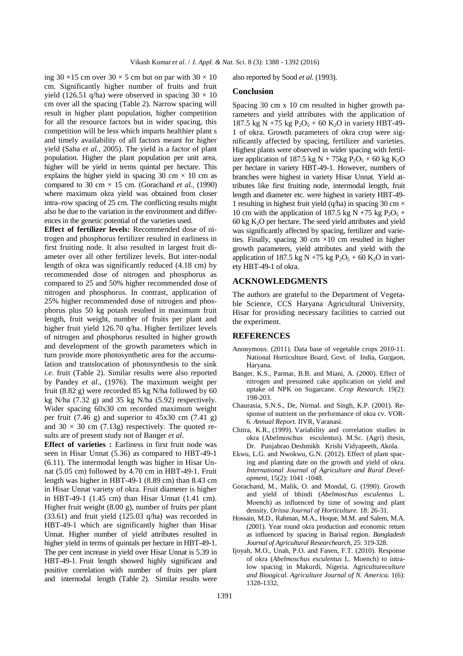ing  $30 \times 15$  cm over  $30 \times 5$  cm but on par with  $30 \times 10$ cm. Significantly higher number of fruits and fruit yield (126.51 q/ha) were observed in spacing  $30 \times 10$ cm over all the spacing (Table 2). Narrow spacing will result in higher plant population, higher competition for all the resource factors but in wider spacing, this competition will be less which imparts healthier plant s and timely availability of all factors meant for higher yield (Saha *et al.,* 2005). The yield is a factor of plant population. Higher the plant population per unit area, higher will be yield in terms quintal per hectare. This explains the higher yield in spacing 30 cm  $\times$  10 cm as compared to 30 cm  $\times$  15 cm. (Gorachand *et al.,* (1990) where maximum okra yield was obtained from closer intra–row spacing of 25 cm. The conflicting results might also be due to the variation in the environment and differences in the genetic potential of the varieties used.

**Effect of fertilizer levels:** Recommended dose of nitrogen and phosphorus fertilizer resulted in earliness in first fruiting node. It also resulted in largest fruit diameter over all other fertilizer levels. But inter-nodal length of okra was significantly reduced (4.18 cm) by recommended dose of nitrogen and phosphorus as compared to 25 and 50% higher recommended dose of nitrogen and phosphorus. In contrast, application of 25% higher recommended dose of nitrogen and phosphorus plus 50 kg potash resulted in maximum fruit length, fruit weight, number of fruits per plant and higher fruit yield 126.70 q/ha. Higher fertilizer levels of nitrogen and phosphorus resulted in higher growth and development of the growth parameters which in turn provide more photosynthetic area for the accumulation and translocation of photosynthesis to the sink *i.e.* fruit (Table 2). Similar results were also reported by Pandey *et al*., (1976). The maximum weight per fruit (8.82 g) were recorded 85 kg N/ha followed by 60 kg N/ha  $(7.32 \text{ g})$  and 35 kg N/ha  $(5.92)$  respectively. Wider spacing 60x30 cm recorded maximum weight per fruit (7.46 g) and superior to  $45x30$  cm (7.41 g) and  $30 \times 30$  cm (7.13g) respectively. The quoted results are of present study not of Banger *et al*.

**Effect of varieties :** Earliness in first fruit node was seen in Hisar Unnat (5.36) as compared to HBT-49-1 (6.11). The intermodal length was higher in Hisar Unnat (5.05 cm) followed by 4.70 cm in HBT-49-1. Fruit length was higher in HBT-49-1 (8.89 cm) than 8.43 cm in Hisar Unnat variety of okra. Fruit diameter is higher in HBT-49-1 (1.45 cm) than Hisar Unnat (1.41 cm). Higher fruit weight (8.00 g), number of fruits per plant (33.61) and fruit yield (125.03 q/ha) was recorded in HBT-49-1 which are significantly higher than Hisar Unnat. Higher number of yield attributes resulted in higher yield in terms of quintals per hectare in HBT-49-1. The per cent increase in yield over Hisar Unnat is 5.39 in HBT-49-1. Fruit length showed highly significant and positive correlation with number of fruits per plant and internodal length (Table 2). Similar results were

also reported by Sood *et al*. (1993).

## **Conclusion**

Spacing 30 cm x 10 cm resulted in higher growth parameters and yield attributes with the application of 187.5 kg N +75 kg  $P_2O_5$  + 60 K<sub>2</sub>O in variety HBT-49-1 of okra. Growth parameters of okra crop were significantly affected by spacing, fertilizer and varieties. Highest plants were observed in wider spacing with fertilizer application of 187.5 kg N + 75kg  $P_2O_5$  + 60 kg K<sub>2</sub>O per hectare in variety HBT-49-1. However, numbers of branches were highest in variety Hisar Unnat. Yield attributes like first fruiting node, intermodal length, fruit length and diameter etc. were highest in variety HBT-49- 1 resulting in highest fruit yield (q/ha) in spacing 30 cm  $\times$ 10 cm with the application of 187.5 kg N +75 kg  $P_2O_5$  + 60 kg  $K<sub>2</sub>O$  per hectare. The seed yield attributes and yield was significantly affected by spacing, fertilizer and varieties. Finally, spacing 30 cm ×10 cm resulted in higher growth parameters, yield attributes and yield with the application of 187.5 kg N +75 kg  $P_2O_5$  + 60 K<sub>2</sub>O in variety HBT-49-1 of okra.

#### **ACKNOWLEDGMENTS**

The authors are grateful to the Department of Vegetable Science, CCS Haryana Agricultural University, Hisar for providing necessary facilities to carried out the experiment.

#### **REFERENCES**

- Anonymous. (2011). Data base of vegetable crops 2010-11. National Horticulture Board, Govt. of India, Gurgaon, Haryana.
- Banger, K.S., Parmar, B.B. and Miani, A. (2000). Effect of nitrogen and presumed cake application on yield and uptake of NPK on Sugarcane. *Crop Research*. 19(2): 198-203.
- Chaurasia, S.N.S., De, Nirmal. and Singh, K.P. (2001). Response of nutrient on the performance of okra cv. VOR-6. *Annual Report.* IIVR, Varanasi.
- Chitra, K.R., (1999). Variability and correlation studies in okra (Abelmoschus esculentus). M.Sc. (Agri) thesis, Dr. Punjabrao Deshmikh Krishi Vidyapeeth, Akola.
- Ekwu, L.G. and Nwokwu, G.N. (2012). Effect of plant spacing and planting date on the growth and yield of okra. *International Journal of Agriculture and Rural Development,* 15(2): 1041 -1048.
- Gorachand, M., Malik, O. and Mondal, G. (1990). Growth and yield of bhindi (*Abelmoschus esculentus* L. Moench) as influenced by time of sowing and plant density, *Orissa Journal of Horticulture.* 18: 26-31.
- Hossain, M.D., Rahman, M.A., Hoque, M.M. and Salem, M.A. (2001). Year round okra production and economic return as influenced by spacing in Barisal region. *Bangladesh Journal of Agricultural Researchearch,* 25: 319-328.
- Ijoyah, M.O., Unah, P.O. and Fanen, F.T. (2010). Response of okra (*Abelmoschus esculentus* L. Moench) to intralow spacing in Makurdi, Nigeria. Agriculture*culture and Bioogical. Agriculture Journal of N. America.* 1(6): 1328-1332,